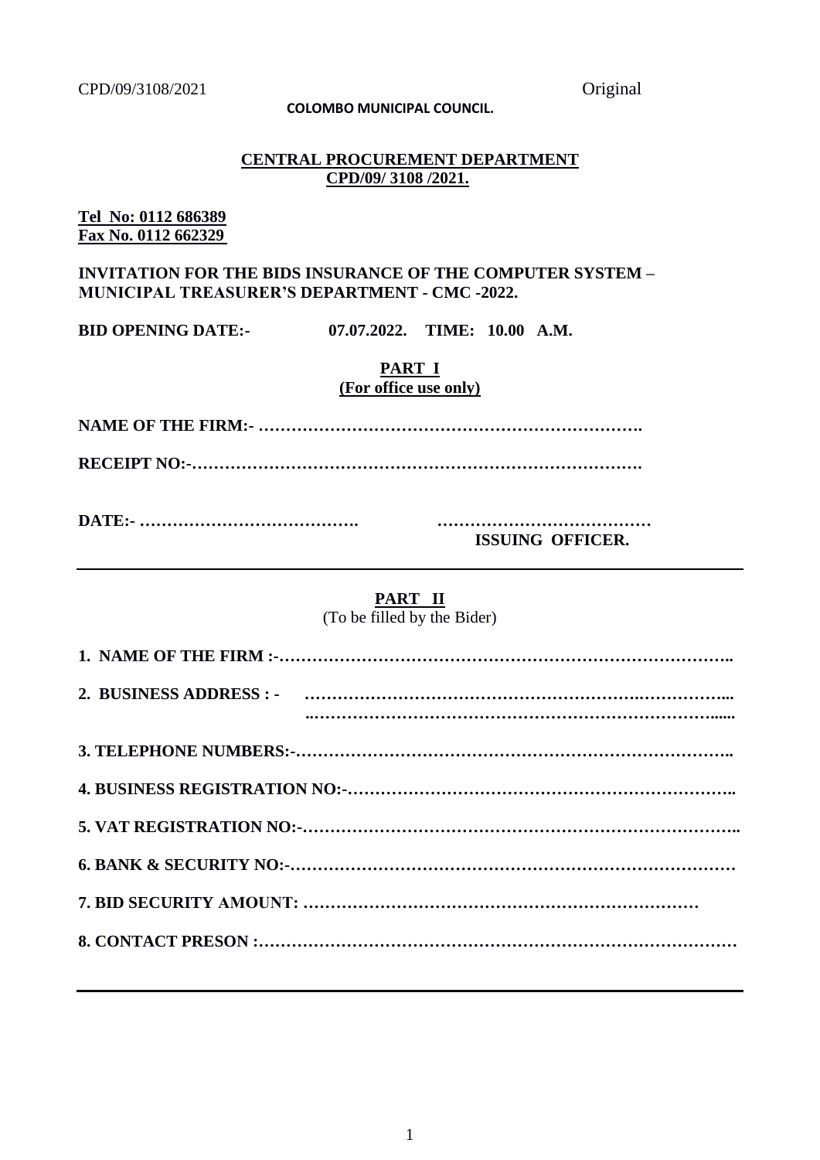### **COLOMBO MUNICIPAL COUNCIL.**

### **CENTRAL PROCUREMENT DEPARTMENT CPD/09/ 3108 /2021.**

### **Tel No: 0112 686389 Fax No. 0112 662329**

### **INVITATION FOR THE BIDS INSURANCE OF THE COMPUTER SYSTEM – MUNICIPAL TREASURER'S DEPARTMENT - CMC -2022.**

**BID OPENING DATE:- 07.07.2022. TIME: 10.00 A.M.** 

### **PART I (For office use only)**

**NAME OF THE FIRM:- …………………………………………………………….**

**RECEIPT NO:-……………………………………………………………………….**

**DATE:- …………………………………. …………………………………**

**ISSUING OFFICER.**

### **PART II**

(To be filled by the Bider)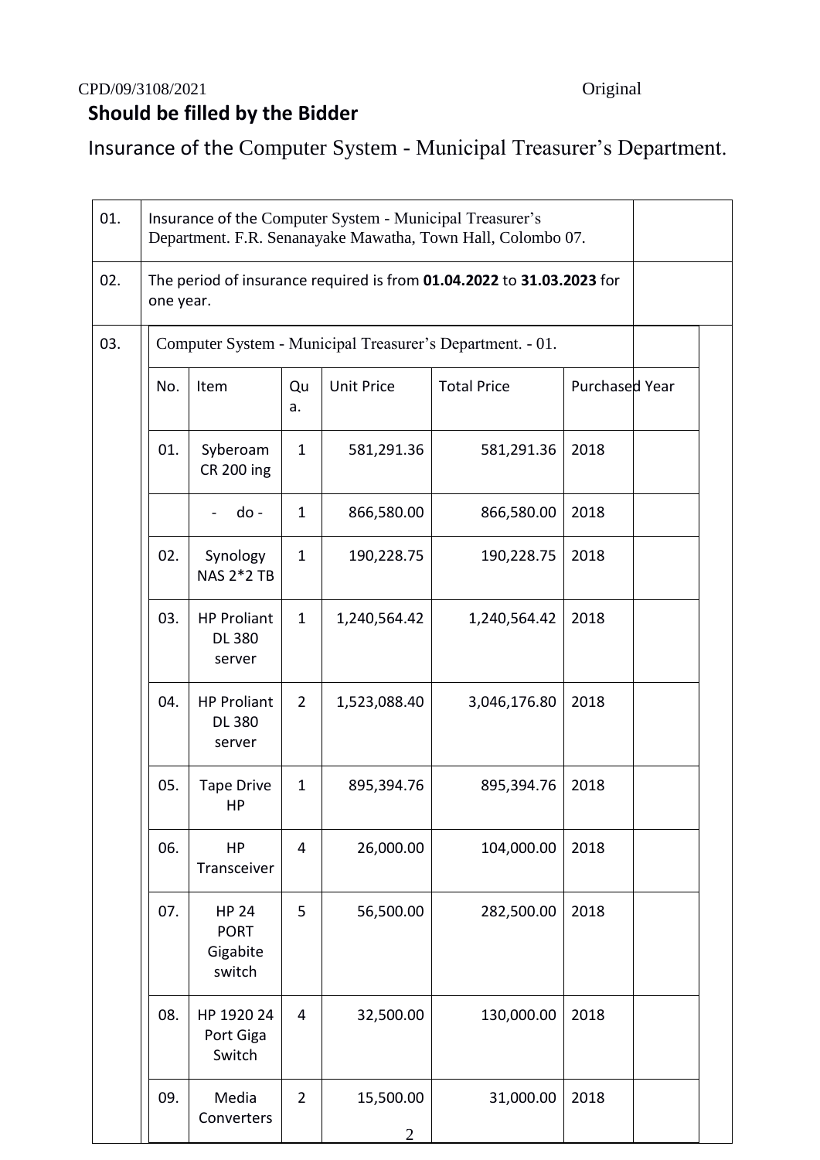# CPD/09/3108/2021 Original  **Should be filled by the Bidder**

Insurance of the Computer System - Municipal Treasurer's Department.

| 01. | Insurance of the Computer System - Municipal Treasurer's<br>Department. F.R. Senanayake Mawatha, Town Hall, Colombo 07. |                                                   |                |                             |                                                           |                |  |  |  |  |
|-----|-------------------------------------------------------------------------------------------------------------------------|---------------------------------------------------|----------------|-----------------------------|-----------------------------------------------------------|----------------|--|--|--|--|
| 02. | The period of insurance required is from 01.04.2022 to 31.03.2023 for<br>one year.                                      |                                                   |                |                             |                                                           |                |  |  |  |  |
| 03. |                                                                                                                         |                                                   |                |                             | Computer System - Municipal Treasurer's Department. - 01. |                |  |  |  |  |
|     | No.                                                                                                                     | Item                                              | Qu<br>a.       | <b>Unit Price</b>           | <b>Total Price</b>                                        | Purchased Year |  |  |  |  |
|     | 01.                                                                                                                     | Syberoam<br><b>CR 200 ing</b>                     | $\mathbf{1}$   | 581,291.36                  | 581,291.36                                                | 2018           |  |  |  |  |
|     |                                                                                                                         | do -                                              | $\mathbf{1}$   | 866,580.00                  | 866,580.00                                                | 2018           |  |  |  |  |
|     | 02.                                                                                                                     | Synology<br><b>NAS 2*2 TB</b>                     | $\mathbf{1}$   | 190,228.75                  | 190,228.75                                                | 2018           |  |  |  |  |
|     | 03.                                                                                                                     | <b>HP Proliant</b><br><b>DL 380</b><br>server     | $\mathbf{1}$   | 1,240,564.42                | 1,240,564.42                                              | 2018           |  |  |  |  |
|     | 04.                                                                                                                     | <b>HP Proliant</b><br><b>DL 380</b><br>server     | $\overline{2}$ | 1,523,088.40                | 3,046,176.80                                              | 2018           |  |  |  |  |
|     | 05.                                                                                                                     | <b>Tape Drive</b><br>HP                           | $\mathbf{1}$   | 895,394.76                  | 895,394.76                                                | 2018           |  |  |  |  |
|     | 06.                                                                                                                     | HP<br>Transceiver                                 | 4              | 26,000.00                   | 104,000.00                                                | 2018           |  |  |  |  |
|     | 07.                                                                                                                     | <b>HP 24</b><br><b>PORT</b><br>Gigabite<br>switch | 5              | 56,500.00                   | 282,500.00                                                | 2018           |  |  |  |  |
|     | 08.                                                                                                                     | HP 1920 24<br>Port Giga<br>Switch                 | $\overline{4}$ | 32,500.00                   | 130,000.00                                                | 2018           |  |  |  |  |
|     | 09.                                                                                                                     | Media<br>Converters                               | $\overline{2}$ | 15,500.00<br>$\overline{2}$ | 31,000.00                                                 | 2018           |  |  |  |  |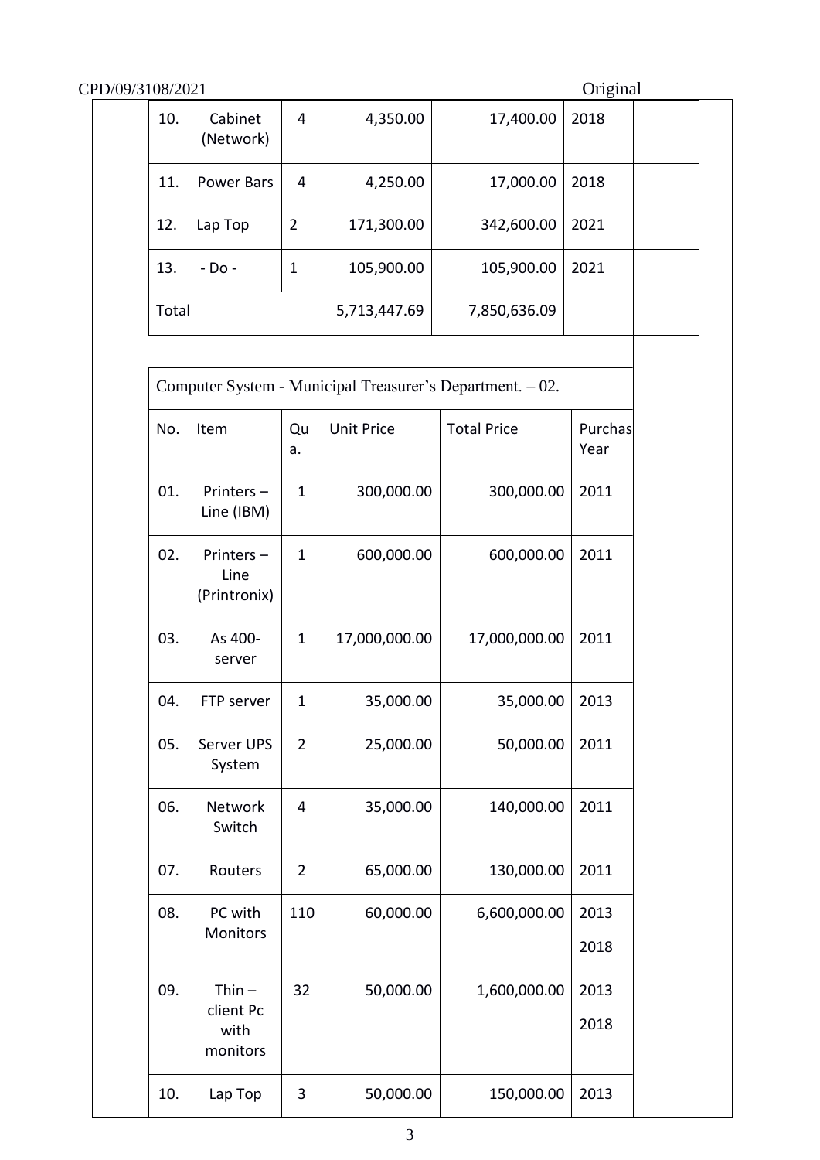| CPD/09/3108/2021 |                                           |                |                   |                                                           | Original        |  |  |
|------------------|-------------------------------------------|----------------|-------------------|-----------------------------------------------------------|-----------------|--|--|
| 10.              | Cabinet<br>(Network)                      | $\overline{4}$ | 4,350.00          | 17,400.00                                                 | 2018            |  |  |
| 11.              | <b>Power Bars</b>                         | 4              | 4,250.00          | 17,000.00                                                 | 2018            |  |  |
| 12.<br>Lap Top   |                                           | $\overline{2}$ | 171,300.00        | 342,600.00                                                | 2021            |  |  |
| 13.              | - Do -                                    | $\mathbf{1}$   | 105,900.00        | 105,900.00                                                | 2021            |  |  |
| Total            |                                           |                | 5,713,447.69      | 7,850,636.09                                              |                 |  |  |
|                  |                                           |                |                   | Computer System - Municipal Treasurer's Department. - 02. |                 |  |  |
| No.              | Item                                      | Qu<br>a.       | <b>Unit Price</b> | <b>Total Price</b>                                        | Purchas<br>Year |  |  |
| 01.              | Printers-<br>Line (IBM)                   | $\mathbf{1}$   | 300,000.00        | 300,000.00                                                | 2011            |  |  |
| 02.              | Printers-<br>Line<br>(Printronix)         | $\mathbf{1}$   | 600,000.00        | 600,000.00                                                | 2011            |  |  |
| 03.              | As 400-<br>server                         | $\mathbf{1}$   | 17,000,000.00     | 17,000,000.00                                             | 2011            |  |  |
| 04.              | FTP server                                | $\mathbf 1$    | 35,000.00         | 35,000.00                                                 | 2013            |  |  |
| 05.              | Server UPS<br>System                      | $\overline{2}$ | 25,000.00         | 50,000.00                                                 | 2011            |  |  |
| 06.              | Network<br>Switch                         | 4              | 35,000.00         | 140,000.00                                                | 2011            |  |  |
| 07.              | Routers                                   | $\overline{2}$ | 65,000.00         | 130,000.00                                                | 2011            |  |  |
| 08.              | PC with<br>Monitors                       | 110            | 60,000.00         | 6,600,000.00                                              | 2013            |  |  |
|                  |                                           |                |                   |                                                           | 2018            |  |  |
| 09.              | $Thin -$<br>client Pc<br>with<br>monitors | 32             | 50,000.00         | 1,600,000.00                                              | 2013<br>2018    |  |  |
| 10.              | Lap Top                                   | 3              | 50,000.00         | 150,000.00                                                | 2013            |  |  |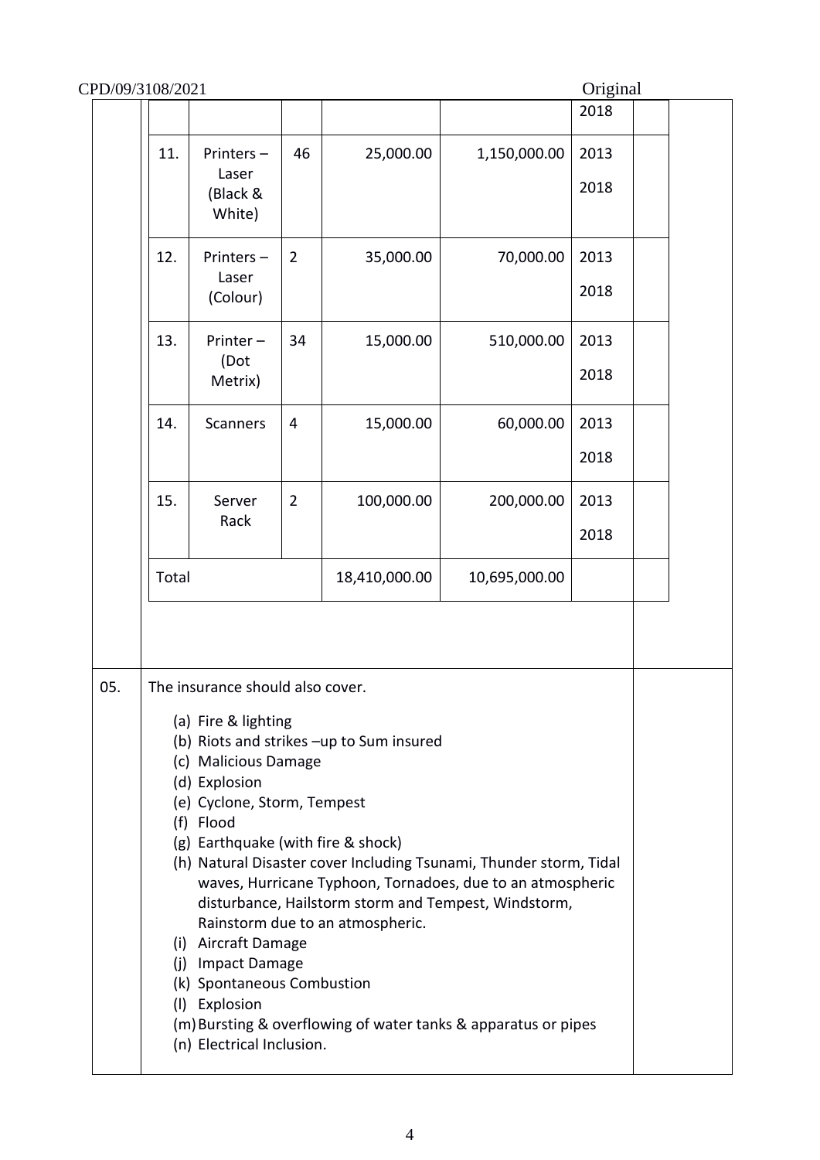|     |                                                                                                                                                                                                                                                                                                                                                                                                                                                                                                                                                                                                                                                          |                                          |                |               |               | 2018         |  |  |
|-----|----------------------------------------------------------------------------------------------------------------------------------------------------------------------------------------------------------------------------------------------------------------------------------------------------------------------------------------------------------------------------------------------------------------------------------------------------------------------------------------------------------------------------------------------------------------------------------------------------------------------------------------------------------|------------------------------------------|----------------|---------------|---------------|--------------|--|--|
|     | 11.                                                                                                                                                                                                                                                                                                                                                                                                                                                                                                                                                                                                                                                      | Printers-<br>Laser<br>(Black &<br>White) | 46             | 25,000.00     | 1,150,000.00  | 2013<br>2018 |  |  |
|     | 12.                                                                                                                                                                                                                                                                                                                                                                                                                                                                                                                                                                                                                                                      | Printers-<br>Laser<br>(Colour)           | $\overline{2}$ | 35,000.00     | 70,000.00     | 2013<br>2018 |  |  |
|     | 13.                                                                                                                                                                                                                                                                                                                                                                                                                                                                                                                                                                                                                                                      | Printer-<br>(Dot<br>Metrix)              | 34             | 15,000.00     | 510,000.00    | 2013<br>2018 |  |  |
|     | 14.                                                                                                                                                                                                                                                                                                                                                                                                                                                                                                                                                                                                                                                      | <b>Scanners</b>                          | 4              | 15,000.00     | 60,000.00     | 2013<br>2018 |  |  |
|     | 15.                                                                                                                                                                                                                                                                                                                                                                                                                                                                                                                                                                                                                                                      | Server<br>Rack                           | $\overline{2}$ | 100,000.00    | 200,000.00    | 2013<br>2018 |  |  |
|     | Total                                                                                                                                                                                                                                                                                                                                                                                                                                                                                                                                                                                                                                                    |                                          |                | 18,410,000.00 | 10,695,000.00 |              |  |  |
| 05. | The insurance should also cover.<br>(a) Fire & lighting<br>(b) Riots and strikes -up to Sum insured<br>(c) Malicious Damage<br>(d) Explosion<br>(e) Cyclone, Storm, Tempest<br>(f) Flood<br>(g) Earthquake (with fire & shock)<br>(h) Natural Disaster cover Including Tsunami, Thunder storm, Tidal<br>waves, Hurricane Typhoon, Tornadoes, due to an atmospheric<br>disturbance, Hailstorm storm and Tempest, Windstorm,<br>Rainstorm due to an atmospheric.<br>(i) Aircraft Damage<br>(j) Impact Damage<br>(k) Spontaneous Combustion<br>(I) Explosion<br>(m) Bursting & overflowing of water tanks & apparatus or pipes<br>(n) Electrical Inclusion. |                                          |                |               |               |              |  |  |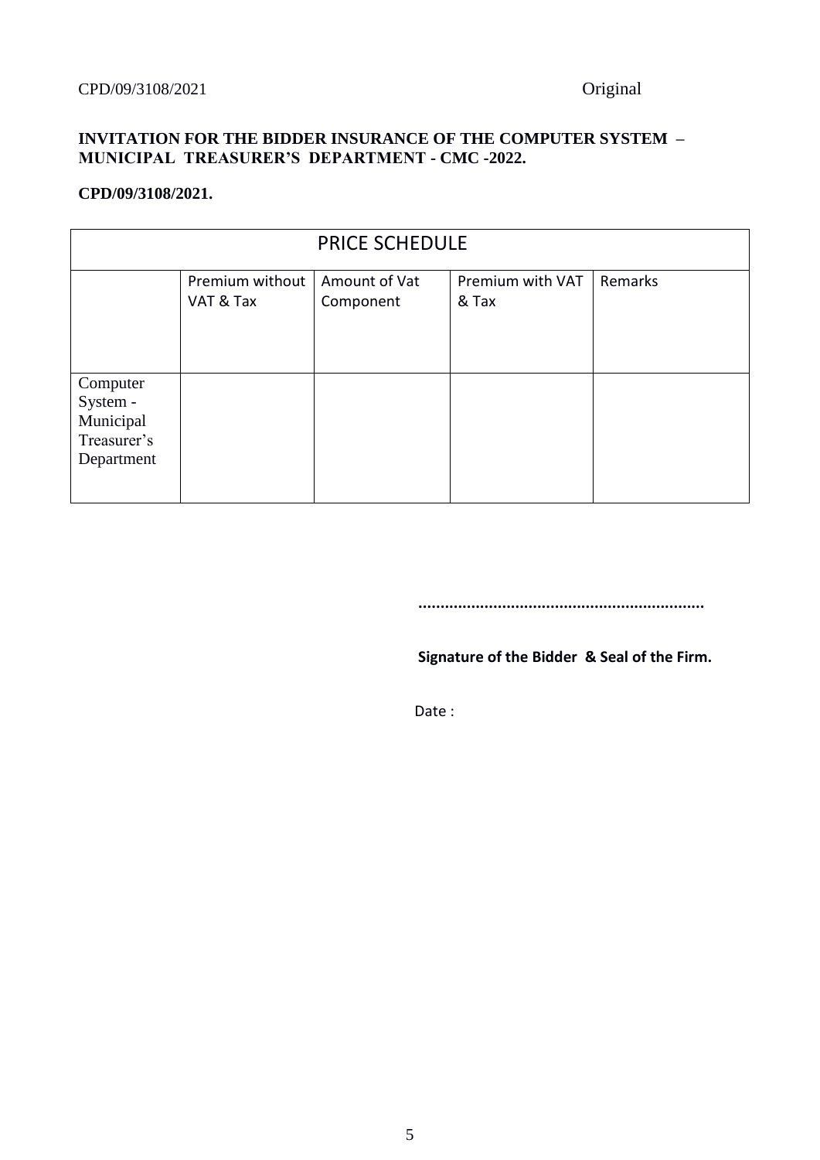### **INVITATION FOR THE BIDDER INSURANCE OF THE COMPUTER SYSTEM – MUNICIPAL TREASURER'S DEPARTMENT - CMC -2022.**

### **CPD/09/3108/2021.**

| <b>PRICE SCHEDULE</b>                                          |                              |                            |                           |         |  |
|----------------------------------------------------------------|------------------------------|----------------------------|---------------------------|---------|--|
|                                                                | Premium without<br>VAT & Tax | Amount of Vat<br>Component | Premium with VAT<br>& Tax | Remarks |  |
| Computer<br>System -<br>Municipal<br>Treasurer's<br>Department |                              |                            |                           |         |  |

 **.................................................................**

 **Signature of the Bidder & Seal of the Firm.**

Date :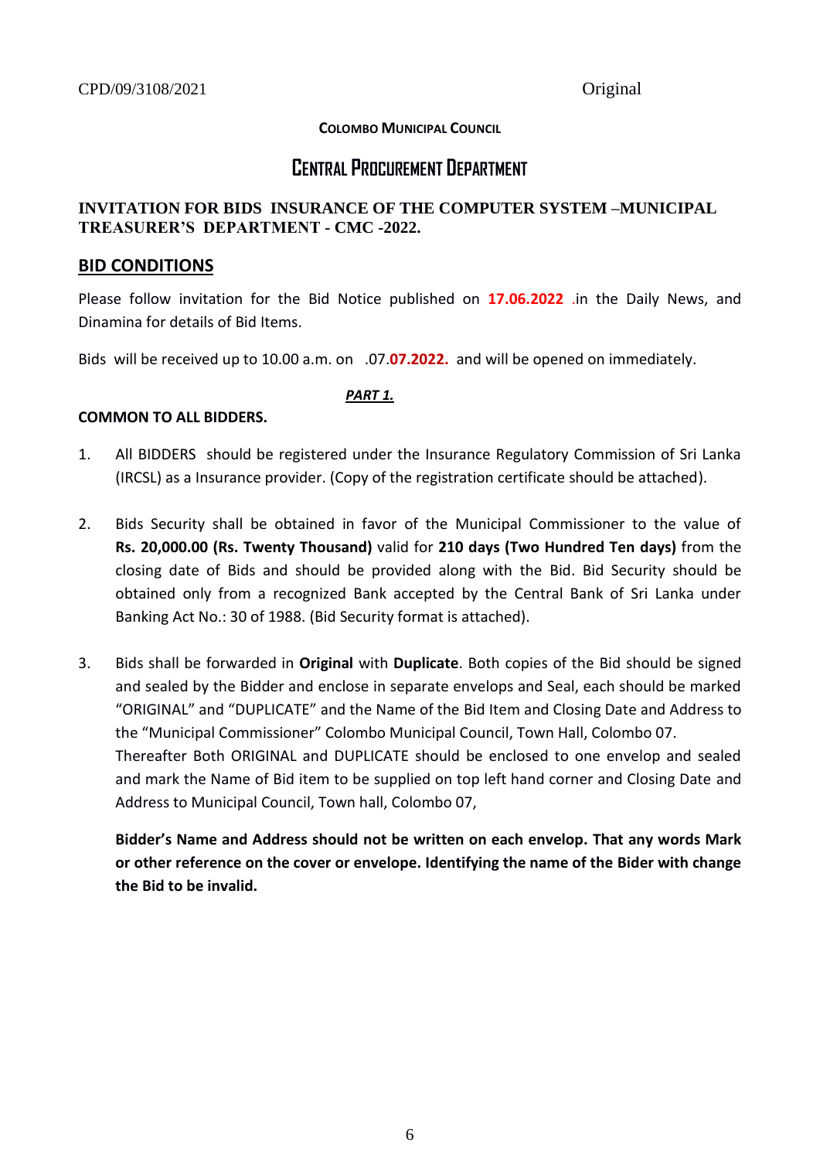### **COLOMBO MUNICIPAL COUNCIL**

# **CENTRAL PROCUREMENT DEPARTMENT**

### **INVITATION FOR BIDS INSURANCE OF THE COMPUTER SYSTEM –MUNICIPAL TREASURER'S DEPARTMENT - CMC -2022.**

### **BID CONDITIONS**

Please follow invitation for the Bid Notice published on **17.06.2022** .in the Daily News, and Dinamina for details of Bid Items.

Bids will be received up to 10.00 a.m. on .07.**07.2022.** and will be opened on immediately.

### *PART 1.*

### **COMMON TO ALL BIDDERS.**

- 1. All BIDDERS should be registered under the Insurance Regulatory Commission of Sri Lanka (IRCSL) as a Insurance provider. (Copy of the registration certificate should be attached).
- 2. Bids Security shall be obtained in favor of the Municipal Commissioner to the value of **Rs. 20,000.00 (Rs. Twenty Thousand)** valid for **210 days (Two Hundred Ten days)** from the closing date of Bids and should be provided along with the Bid. Bid Security should be obtained only from a recognized Bank accepted by the Central Bank of Sri Lanka under Banking Act No.: 30 of 1988. (Bid Security format is attached).
- 3. Bids shall be forwarded in **Original** with **Duplicate**. Both copies of the Bid should be signed and sealed by the Bidder and enclose in separate envelops and Seal, each should be marked "ORIGINAL" and "DUPLICATE" and the Name of the Bid Item and Closing Date and Address to the "Municipal Commissioner" Colombo Municipal Council, Town Hall, Colombo 07. Thereafter Both ORIGINAL and DUPLICATE should be enclosed to one envelop and sealed and mark the Name of Bid item to be supplied on top left hand corner and Closing Date and Address to Municipal Council, Town hall, Colombo 07,

**Bidder's Name and Address should not be written on each envelop. That any words Mark or other reference on the cover or envelope. Identifying the name of the Bider with change the Bid to be invalid.**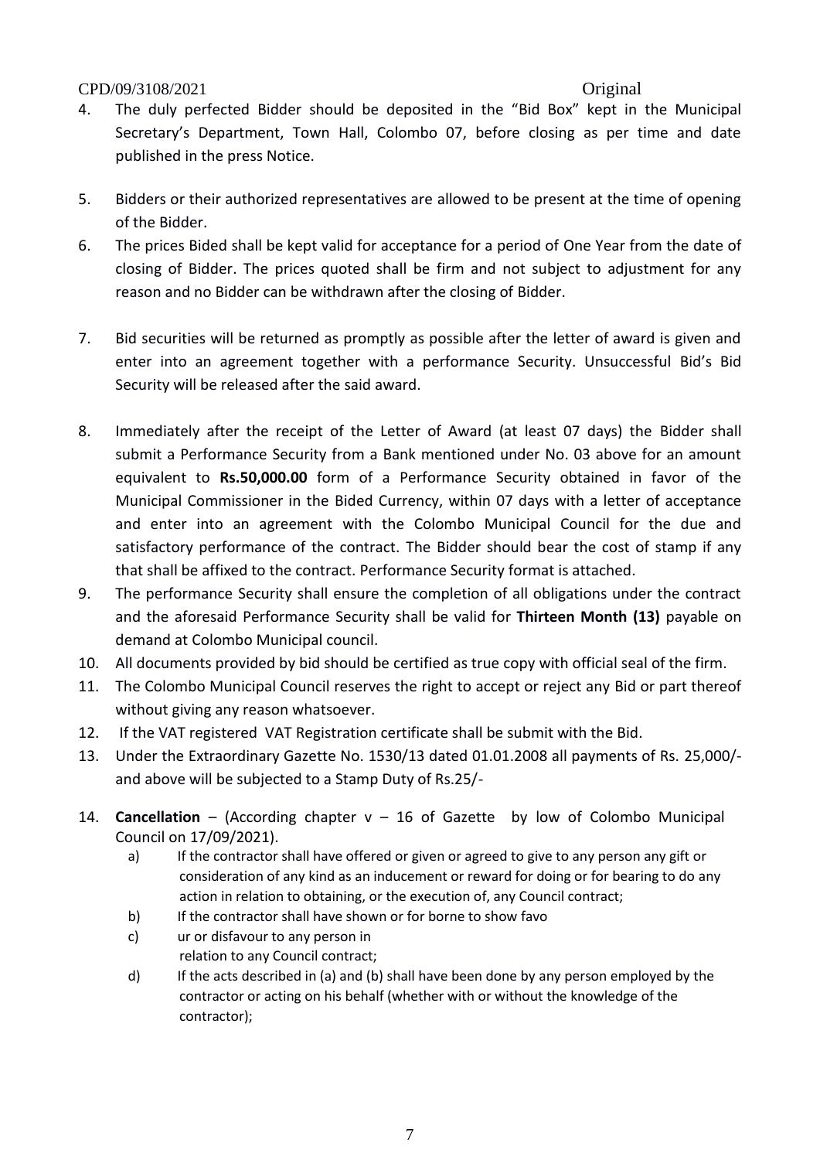- 4. The duly perfected Bidder should be deposited in the "Bid Box" kept in the Municipal Secretary's Department, Town Hall, Colombo 07, before closing as per time and date published in the press Notice.
- 5. Bidders or their authorized representatives are allowed to be present at the time of opening of the Bidder.
- 6. The prices Bided shall be kept valid for acceptance for a period of One Year from the date of closing of Bidder. The prices quoted shall be firm and not subject to adjustment for any reason and no Bidder can be withdrawn after the closing of Bidder.
- 7. Bid securities will be returned as promptly as possible after the letter of award is given and enter into an agreement together with a performance Security. Unsuccessful Bid's Bid Security will be released after the said award.
- 8. Immediately after the receipt of the Letter of Award (at least 07 days) the Bidder shall submit a Performance Security from a Bank mentioned under No. 03 above for an amount equivalent to **Rs.50,000.00** form of a Performance Security obtained in favor of the Municipal Commissioner in the Bided Currency, within 07 days with a letter of acceptance and enter into an agreement with the Colombo Municipal Council for the due and satisfactory performance of the contract. The Bidder should bear the cost of stamp if any that shall be affixed to the contract. Performance Security format is attached.
- 9. The performance Security shall ensure the completion of all obligations under the contract and the aforesaid Performance Security shall be valid for **Thirteen Month (13)** payable on demand at Colombo Municipal council.
- 10. All documents provided by bid should be certified as true copy with official seal of the firm.
- 11. The Colombo Municipal Council reserves the right to accept or reject any Bid or part thereof without giving any reason whatsoever.
- 12. If the VAT registered VAT Registration certificate shall be submit with the Bid.
- 13. Under the Extraordinary Gazette No. 1530/13 dated 01.01.2008 all payments of Rs. 25,000/ and above will be subjected to a Stamp Duty of Rs.25/-
- 14. **Cancellation** (According chapter v 16 of Gazette by low of Colombo Municipal Council on 17/09/2021).
	- a) If the contractor shall have offered or given or agreed to give to any person any gift or consideration of any kind as an inducement or reward for doing or for bearing to do any action in relation to obtaining, or the execution of, any Council contract;
	- b) If the contractor shall have shown or for borne to show favo
	- c) ur or disfavour to any person in relation to any Council contract;
	- d) If the acts described in (a) and (b) shall have been done by any person employed by the contractor or acting on his behalf (whether with or without the knowledge of the contractor);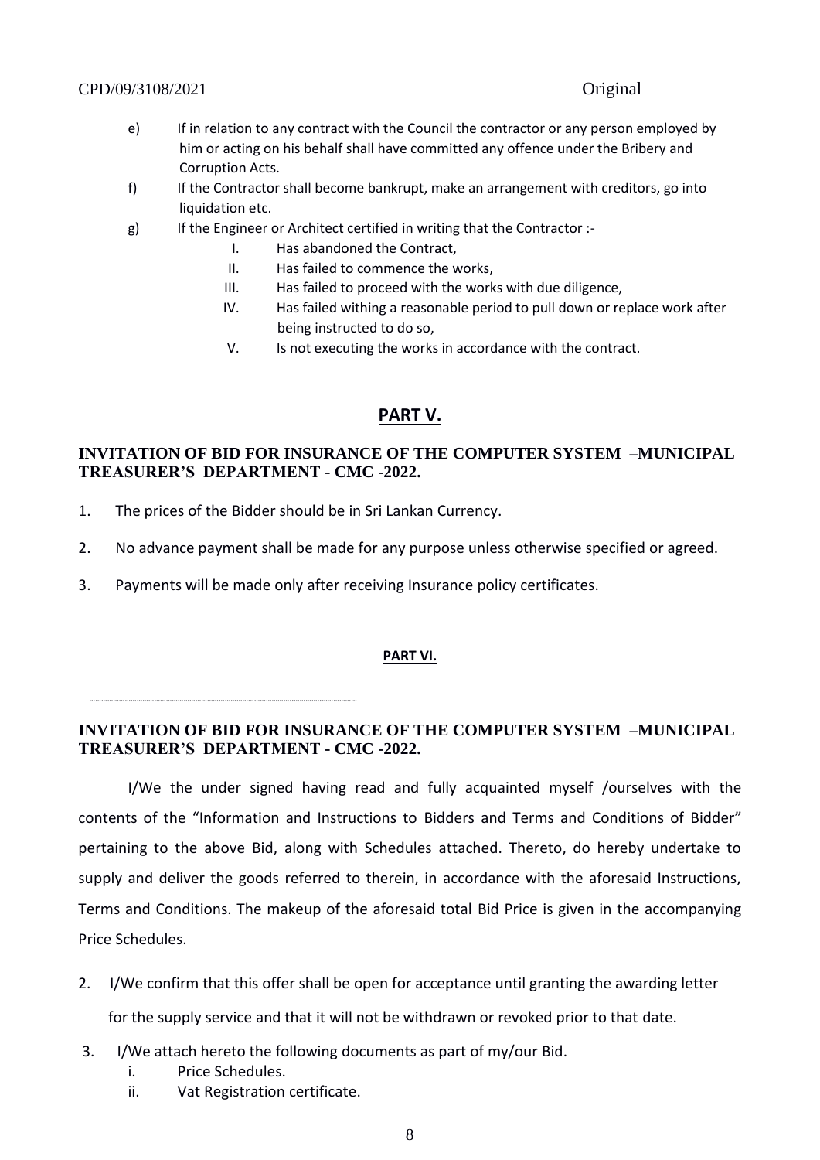- e) If in relation to any contract with the Council the contractor or any person employed by him or acting on his behalf shall have committed any offence under the Bribery and Corruption Acts.
- f) If the Contractor shall become bankrupt, make an arrangement with creditors, go into liquidation etc.
- g) If the Engineer or Architect certified in writing that the Contractor :-
	- I. Has abandoned the Contract,
	- II. Has failed to commence the works,
	- III. Has failed to proceed with the works with due diligence,
	- IV. Has failed withing a reasonable period to pull down or replace work after being instructed to do so,
	- V. Is not executing the works in accordance with the contract.

### **PART V.**

### **INVITATION OF BID FOR INSURANCE OF THE COMPUTER SYSTEM –MUNICIPAL TREASURER'S DEPARTMENT - CMC -2022.**

- 1. The prices of the Bidder should be in Sri Lankan Currency.
- 2. No advance payment shall be made for any purpose unless otherwise specified or agreed.
- 3. Payments will be made only after receiving Insurance policy certificates.

### **PART VI.**

### **INVITATION OF BID FOR INSURANCE OF THE COMPUTER SYSTEM –MUNICIPAL TREASURER'S DEPARTMENT - CMC -2022.**

I/We the under signed having read and fully acquainted myself /ourselves with the contents of the "Information and Instructions to Bidders and Terms and Conditions of Bidder" pertaining to the above Bid, along with Schedules attached. Thereto, do hereby undertake to supply and deliver the goods referred to therein, in accordance with the aforesaid Instructions, Terms and Conditions. The makeup of the aforesaid total Bid Price is given in the accompanying Price Schedules.

2. I/We confirm that this offer shall be open for acceptance until granting the awarding letter

for the supply service and that it will not be withdrawn or revoked prior to that date.

- 3. I/We attach hereto the following documents as part of my/our Bid.
	- i. Price Schedules.

 **…………………………………………………………………………………………..…………..………………**

ii. Vat Registration certificate.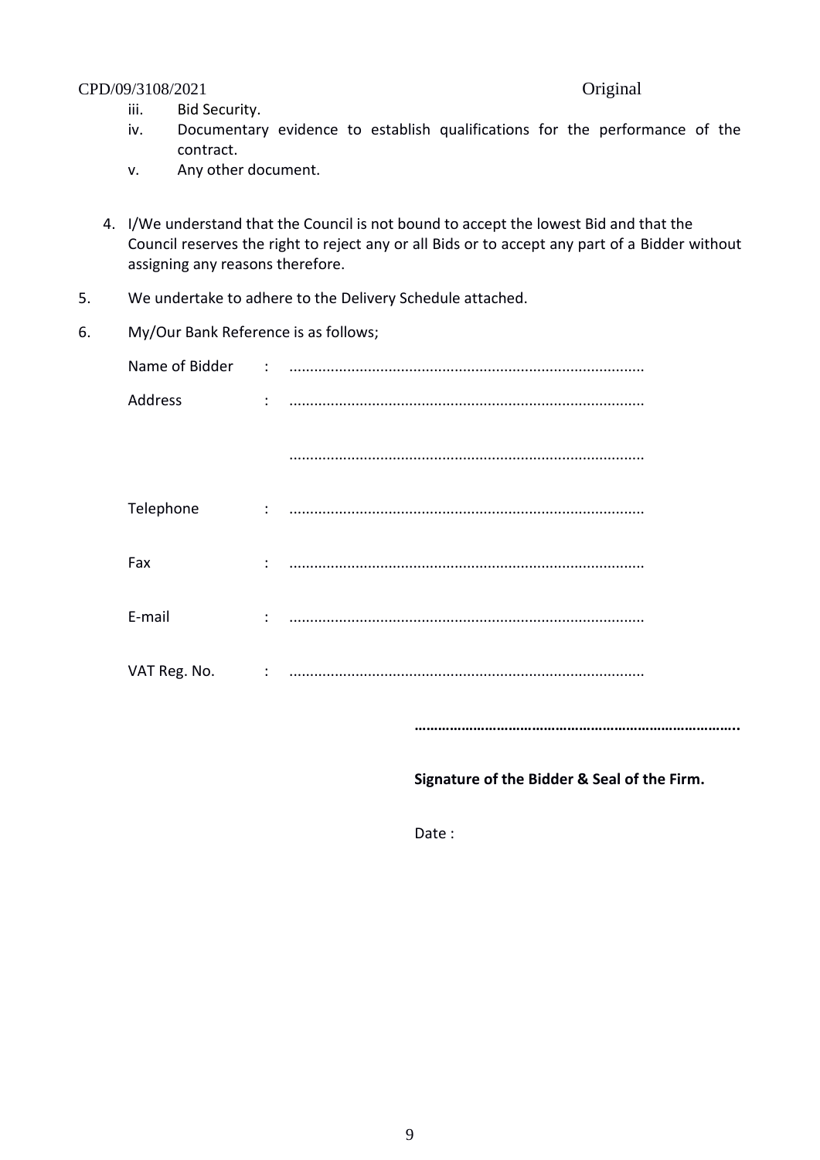- iii. Bid Security.
- iv. Documentary evidence to establish qualifications for the performance of the contract.
- v. Any other document.
- 4. I/We understand that the Council is not bound to accept the lowest Bid and that the Council reserves the right to reject any or all Bids or to accept any part of a Bidder without assigning any reasons therefore.
- 5. We undertake to adhere to the Delivery Schedule attached.
- 6. My/Our Bank Reference is as follows;

| Address   | $\ddotsc$ . The communication of the communication of the communication of the communication of the communication of the communication of the communication of the communication of the communication of the communication of th |
|-----------|----------------------------------------------------------------------------------------------------------------------------------------------------------------------------------------------------------------------------------|
|           |                                                                                                                                                                                                                                  |
| Telephone |                                                                                                                                                                                                                                  |
| Fax       |                                                                                                                                                                                                                                  |
| E-mail    |                                                                                                                                                                                                                                  |
|           |                                                                                                                                                                                                                                  |
|           |                                                                                                                                                                                                                                  |

**………………………………………………………………………..** 

### **Signature of the Bidder & Seal of the Firm.**

Date :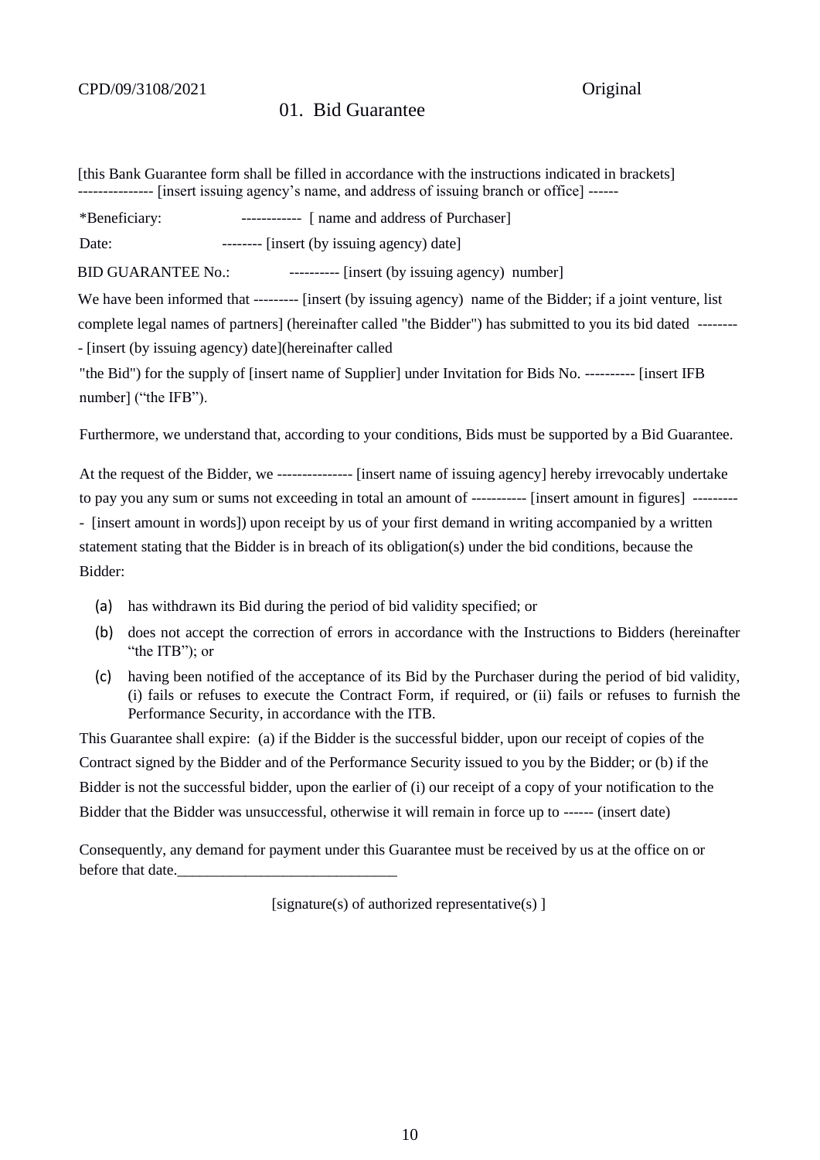### 01. Bid Guarantee

[this Bank Guarantee form shall be filled in accordance with the instructions indicated in brackets] --------------- [insert issuing agency's name, and address of issuing branch or office] ------

\*Beneficiary: ------------ [ name and address of Purchaser]

Date: -------- [insert (by issuing agency) date]

BID GUARANTEE No.: ----------- [insert (by issuing agency) number]

We have been informed that --------- [insert (by issuing agency) name of the Bidder; if a joint venture, list complete legal names of partners] (hereinafter called "the Bidder") has submitted to you its bid dated -------- - [insert (by issuing agency) date](hereinafter called

"the Bid") for the supply of [insert name of Supplier] under Invitation for Bids No. ---------- [insert IFB number] ("the IFB").

Furthermore, we understand that, according to your conditions, Bids must be supported by a Bid Guarantee.

At the request of the Bidder, we --------------- [insert name of issuing agency] hereby irrevocably undertake to pay you any sum or sums not exceeding in total an amount of ----------- [insert amount in figures] --------- - [insert amount in words]) upon receipt by us of your first demand in writing accompanied by a written statement stating that the Bidder is in breach of its obligation(s) under the bid conditions, because the Bidder:

- (a) has withdrawn its Bid during the period of bid validity specified; or
- (b) does not accept the correction of errors in accordance with the Instructions to Bidders (hereinafter "the ITB"); or
- (c) having been notified of the acceptance of its Bid by the Purchaser during the period of bid validity, (i) fails or refuses to execute the Contract Form, if required, or (ii) fails or refuses to furnish the Performance Security, in accordance with the ITB.

This Guarantee shall expire: (a) if the Bidder is the successful bidder, upon our receipt of copies of the Contract signed by the Bidder and of the Performance Security issued to you by the Bidder; or (b) if the Bidder is not the successful bidder, upon the earlier of (i) our receipt of a copy of your notification to the Bidder that the Bidder was unsuccessful, otherwise it will remain in force up to ------ (insert date)

Consequently, any demand for payment under this Guarantee must be received by us at the office on or before that date.

[signature(s) of authorized representative(s)  $\vert$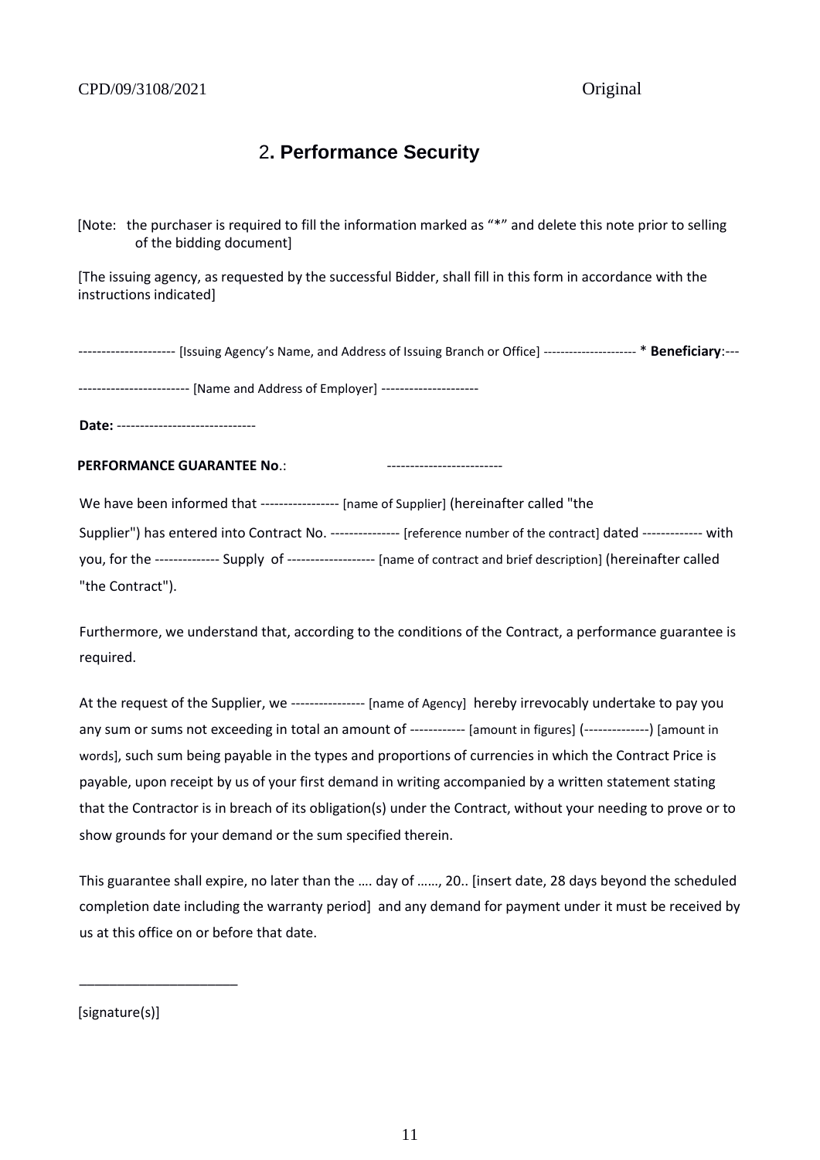# 2**. Performance Security**

[Note: the purchaser is required to fill the information marked as "\*" and delete this note prior to selling of the bidding document]

[The issuing agency, as requested by the successful Bidder, shall fill in this form in accordance with the instructions indicated]

--------------------- [Issuing Agency's Name, and Address of Issuing Branch or Office] ---------------------- \* **Beneficiary**:---

------------------------ [Name and Address of Employer] ---------------------

**Date:** ------------------------------

**PERFORMANCE GUARANTEE No**.: -------------------------

We have been informed that ------------------ [name of Supplier] (hereinafter called "the

Supplier") has entered into Contract No. --------------- [reference number of the contract] dated ------------- with

you, for the -------------- Supply of ------------------- [name of contract and brief description] (hereinafter called "the Contract").

Furthermore, we understand that, according to the conditions of the Contract, a performance guarantee is required.

At the request of the Supplier, we ---------------- [name of Agency] hereby irrevocably undertake to pay you any sum or sums not exceeding in total an amount of ------------ [amount in figures] (--------------) [amount in words], such sum being payable in the types and proportions of currencies in which the Contract Price is payable, upon receipt by us of your first demand in writing accompanied by a written statement stating that the Contractor is in breach of its obligation(s) under the Contract, without your needing to prove or to show grounds for your demand or the sum specified therein.

This guarantee shall expire, no later than the …. day of ……, 20.. [insert date, 28 days beyond the scheduled completion date including the warranty period] and any demand for payment under it must be received by us at this office on or before that date.

[signature(s)]

\_\_\_\_\_\_\_\_\_\_\_\_\_\_\_\_\_\_\_\_\_